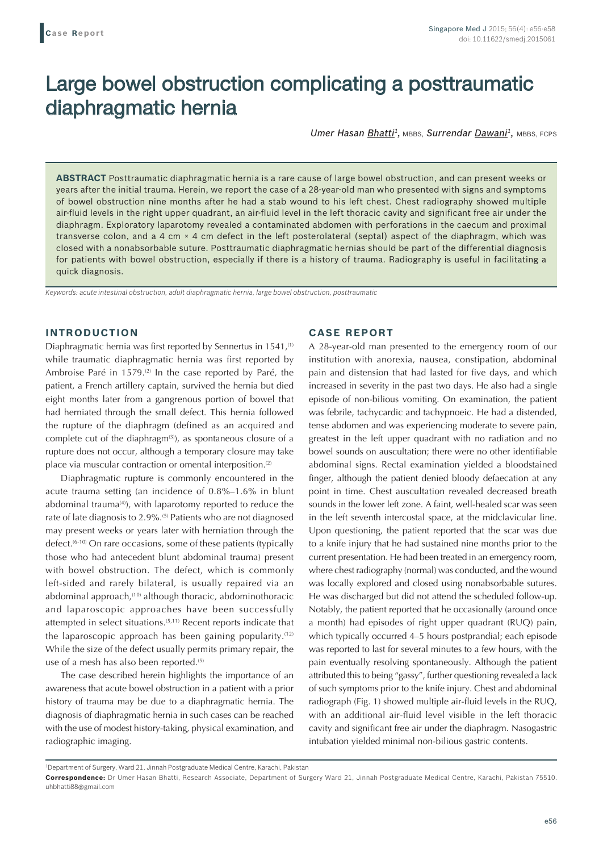# Large bowel obstruction complicating a posttraumatic diaphragmatic hernia

*Umer Hasan Bhatti1,* MBBS, *Surrendar Dawani1,* MBBS, FCPS

**ABSTRACT** Posttraumatic diaphragmatic hernia is a rare cause of large bowel obstruction, and can present weeks or years after the initial trauma. Herein, we report the case of a 28-year-old man who presented with signs and symptoms of bowel obstruction nine months after he had a stab wound to his left chest. Chest radiography showed multiple air-fluid levels in the right upper quadrant, an air-fluid level in the left thoracic cavity and significant free air under the diaphragm. Exploratory laparotomy revealed a contaminated abdomen with perforations in the caecum and proximal transverse colon, and a 4 cm × 4 cm defect in the left posterolateral (septal) aspect of the diaphragm, which was closed with a nonabsorbable suture. Posttraumatic diaphragmatic hernias should be part of the differential diagnosis for patients with bowel obstruction, especially if there is a history of trauma. Radiography is useful in facilitating a quick diagnosis.

*Keywords: acute intestinal obstruction, adult diaphragmatic hernia, large bowel obstruction, posttraumatic*

## **INTRODUCTION**

Diaphragmatic hernia was first reported by Sennertus in 1541,<sup>(1)</sup> while traumatic diaphragmatic hernia was first reported by Ambroise Paré in 1579.<sup>(2)</sup> In the case reported by Paré, the patient, a French artillery captain, survived the hernia but died eight months later from a gangrenous portion of bowel that had herniated through the small defect. This hernia followed the rupture of the diaphragm (defined as an acquired and complete cut of the diaphragm<sup>(3)</sup>), as spontaneous closure of a rupture does not occur, although a temporary closure may take place via muscular contraction or omental interposition.<sup>(2)</sup>

Diaphragmatic rupture is commonly encountered in the acute trauma setting (an incidence of 0.8%–1.6% in blunt abdominal trauma $(4)$ , with laparotomy reported to reduce the rate of late diagnosis to 2.9%.<sup>(5)</sup> Patients who are not diagnosed may present weeks or years later with herniation through the defect.<sup>(6-10)</sup> On rare occasions, some of these patients (typically those who had antecedent blunt abdominal trauma) present with bowel obstruction. The defect, which is commonly left-sided and rarely bilateral, is usually repaired via an abdominal approach,<sup>(10)</sup> although thoracic, abdominothoracic and laparoscopic approaches have been successfully attempted in select situations.(5,11) Recent reports indicate that the laparoscopic approach has been gaining popularity.<sup> $(12)$ </sup> While the size of the defect usually permits primary repair, the use of a mesh has also been reported.<sup>(5)</sup>

The case described herein highlights the importance of an awareness that acute bowel obstruction in a patient with a prior history of trauma may be due to a diaphragmatic hernia. The diagnosis of diaphragmatic hernia in such cases can be reached with the use of modest history-taking, physical examination, and radiographic imaging.

## **CASE REPORT**

A 28-year-old man presented to the emergency room of our institution with anorexia, nausea, constipation, abdominal pain and distension that had lasted for five days, and which increased in severity in the past two days. He also had a single episode of non-bilious vomiting. On examination, the patient was febrile, tachycardic and tachypnoeic. He had a distended, tense abdomen and was experiencing moderate to severe pain, greatest in the left upper quadrant with no radiation and no bowel sounds on auscultation; there were no other identifiable abdominal signs. Rectal examination yielded a bloodstained finger, although the patient denied bloody defaecation at any point in time. Chest auscultation revealed decreased breath sounds in the lower left zone. A faint, well-healed scar was seen in the left seventh intercostal space, at the midclavicular line. Upon questioning, the patient reported that the scar was due to a knife injury that he had sustained nine months prior to the current presentation. He had been treated in an emergency room, where chest radiography (normal) was conducted, and the wound was locally explored and closed using nonabsorbable sutures. He was discharged but did not attend the scheduled follow-up. Notably, the patient reported that he occasionally (around once a month) had episodes of right upper quadrant (RUQ) pain, which typically occurred 4–5 hours postprandial; each episode was reported to last for several minutes to a few hours, with the pain eventually resolving spontaneously. Although the patient attributed this to being "gassy", further questioning revealed a lack of such symptoms prior to the knife injury. Chest and abdominal radiograph (Fig. 1) showed multiple air-fluid levels in the RUQ, with an additional air-fluid level visible in the left thoracic cavity and significant free air under the diaphragm. Nasogastric intubation yielded minimal non-bilious gastric contents.

<sup>1</sup> Department of Surgery, Ward 21, Jinnah Postgraduate Medical Centre, Karachi, Pakistan

**Correspondence:** Dr Umer Hasan Bhatti, Research Associate, Department of Surgery Ward 21, Jinnah Postgraduate Medical Centre, Karachi, Pakistan 75510. uhbhatti88@gmail.com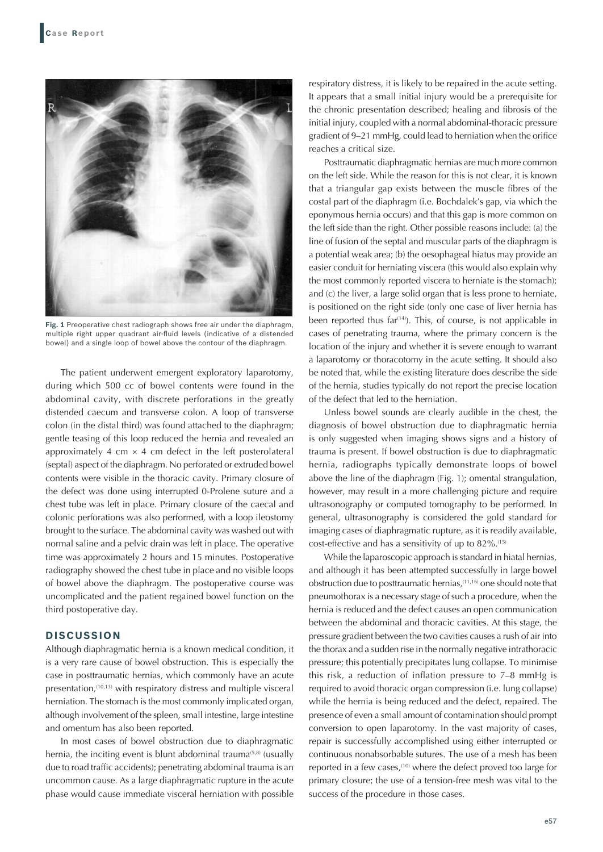

**Fig. 1** Preoperative chest radiograph shows free air under the diaphragm, multiple right upper quadrant air-fluid levels (indicative of a distended bowel) and a single loop of bowel above the contour of the diaphragm.

The patient underwent emergent exploratory laparotomy, during which 500 cc of bowel contents were found in the abdominal cavity, with discrete perforations in the greatly distended caecum and transverse colon. A loop of transverse colon (in the distal third) was found attached to the diaphragm; gentle teasing of this loop reduced the hernia and revealed an approximately 4 cm  $\times$  4 cm defect in the left posterolateral (septal) aspect of the diaphragm. No perforated or extruded bowel contents were visible in the thoracic cavity. Primary closure of the defect was done using interrupted 0-Prolene suture and a chest tube was left in place. Primary closure of the caecal and colonic perforations was also performed, with a loop ileostomy brought to the surface. The abdominal cavity was washed out with normal saline and a pelvic drain was left in place. The operative time was approximately 2 hours and 15 minutes. Postoperative radiography showed the chest tube in place and no visible loops of bowel above the diaphragm. The postoperative course was uncomplicated and the patient regained bowel function on the third postoperative day.

## **DISCUSSION**

Although diaphragmatic hernia is a known medical condition, it is a very rare cause of bowel obstruction. This is especially the case in posttraumatic hernias, which commonly have an acute presentation,<sup>(10,13)</sup> with respiratory distress and multiple visceral herniation. The stomach is the most commonly implicated organ, although involvement of the spleen, small intestine, large intestine and omentum has also been reported.

In most cases of bowel obstruction due to diaphragmatic hernia, the inciting event is blunt abdominal trauma<sup>(5,8)</sup> (usually due to road traffic accidents); penetrating abdominal trauma is an uncommon cause. As a large diaphragmatic rupture in the acute phase would cause immediate visceral herniation with possible respiratory distress, it is likely to be repaired in the acute setting. It appears that a small initial injury would be a prerequisite for the chronic presentation described; healing and fibrosis of the initial injury, coupled with a normal abdominal-thoracic pressure gradient of 9–21 mmHg, could lead to herniation when the orifice reaches a critical size.

Posttraumatic diaphragmatic hernias are much more common on the left side. While the reason for this is not clear, it is known that a triangular gap exists between the muscle fibres of the costal part of the diaphragm (i.e. Bochdalek's gap, via which the eponymous hernia occurs) and that this gap is more common on the left side than the right. Other possible reasons include: (a) the line of fusion of the septal and muscular parts of the diaphragm is a potential weak area; (b) the oesophageal hiatus may provide an easier conduit for herniating viscera (this would also explain why the most commonly reported viscera to herniate is the stomach); and (c) the liver, a large solid organ that is less prone to herniate, is positioned on the right side (only one case of liver hernia has been reported thus far<sup> $(14)$ </sup>). This, of course, is not applicable in cases of penetrating trauma, where the primary concern is the location of the injury and whether it is severe enough to warrant a laparotomy or thoracotomy in the acute setting. It should also be noted that, while the existing literature does describe the side of the hernia, studies typically do not report the precise location of the defect that led to the herniation.

Unless bowel sounds are clearly audible in the chest, the diagnosis of bowel obstruction due to diaphragmatic hernia is only suggested when imaging shows signs and a history of trauma is present. If bowel obstruction is due to diaphragmatic hernia, radiographs typically demonstrate loops of bowel above the line of the diaphragm (Fig. 1); omental strangulation, however, may result in a more challenging picture and require ultrasonography or computed tomography to be performed. In general, ultrasonography is considered the gold standard for imaging cases of diaphragmatic rupture, as it is readily available, cost-effective and has a sensitivity of up to 82%.<sup>(15)</sup>

While the laparoscopic approach is standard in hiatal hernias, and although it has been attempted successfully in large bowel obstruction due to posttraumatic hernias, (11,16) one should note that pneumothorax is a necessary stage of such a procedure, when the hernia is reduced and the defect causes an open communication between the abdominal and thoracic cavities. At this stage, the pressure gradient between the two cavities causes a rush of air into the thorax and a sudden rise in the normally negative intrathoracic pressure; this potentially precipitates lung collapse. To minimise this risk, a reduction of inflation pressure to 7–8 mmHg is required to avoid thoracic organ compression (i.e. lung collapse) while the hernia is being reduced and the defect, repaired. The presence of even a small amount of contamination should prompt conversion to open laparotomy. In the vast majority of cases, repair is successfully accomplished using either interrupted or continuous nonabsorbable sutures. The use of a mesh has been reported in a few cases,<sup>(10)</sup> where the defect proved too large for primary closure; the use of a tension-free mesh was vital to the success of the procedure in those cases.